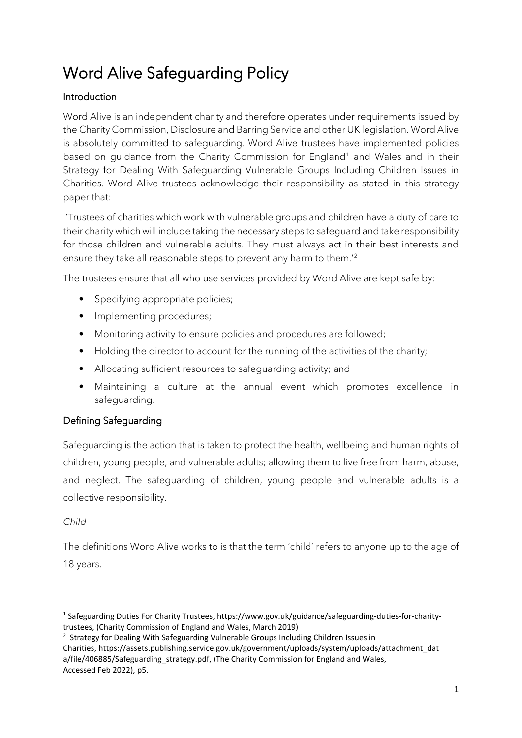# Word Alive Safeguarding Policy

# Introduction

Word Alive is an independent charity and therefore operates under requirements issued by the Charity Commission, Disclosure and Barring Service and other UK legislation. Word Alive is absolutely committed to safeguarding. Word Alive trustees have implemented policies based on quidance from the Charity Commission for England<sup>[1](#page-0-0)</sup> and Wales and in their Strategy for Dealing With Safeguarding Vulnerable Groups Including Children Issues in Charities. Word Alive trustees acknowledge their responsibility as stated in this strategy paper that:

'Trustees of charities which work with vulnerable groups and children have a duty of care to their charity which will include taking the necessary steps to safeguard and take responsibility for those children and vulnerable adults. They must always act in their best interests and ensure they take all reasonable steps to prevent any harm to them.'[2](#page-0-1)

The trustees ensure that all who use services provided by Word Alive are kept safe by:

- Specifying appropriate policies;
- Implementing procedures;
- Monitoring activity to ensure policies and procedures are followed;
- Holding the director to account for the running of the activities of the charity;
- Allocating sufficient resources to safeguarding activity; and
- Maintaining a culture at the annual event which promotes excellence in safeguarding.

# Defining Safeguarding

Safeguarding is the action that is taken to protect the health, wellbeing and human rights of children, young people, and vulnerable adults; allowing them to live free from harm, abuse, and neglect. The safeguarding of children, young people and vulnerable adults is a collective responsibility.

#### *Child*

The definitions Word Alive works to is that the term 'child' refers to anyone up to the age of 18 years.

<span id="page-0-0"></span><sup>&</sup>lt;sup>1</sup> Safeguarding Duties For Charity Trustees, https://www.gov.uk/guidance/safeguarding-duties-for-charitytrustees, (Charity Commission of England and Wales, March 2019)

<span id="page-0-1"></span><sup>&</sup>lt;sup>2</sup> Strategy for Dealing With Safeguarding Vulnerable Groups Including Children Issues in

Charities, https://assets.publishing.service.gov.uk/government/uploads/system/uploads/attachment\_dat a/file/406885/Safeguarding strategy.pdf, (The Charity Commission for England and Wales, Accessed Feb 2022), p5.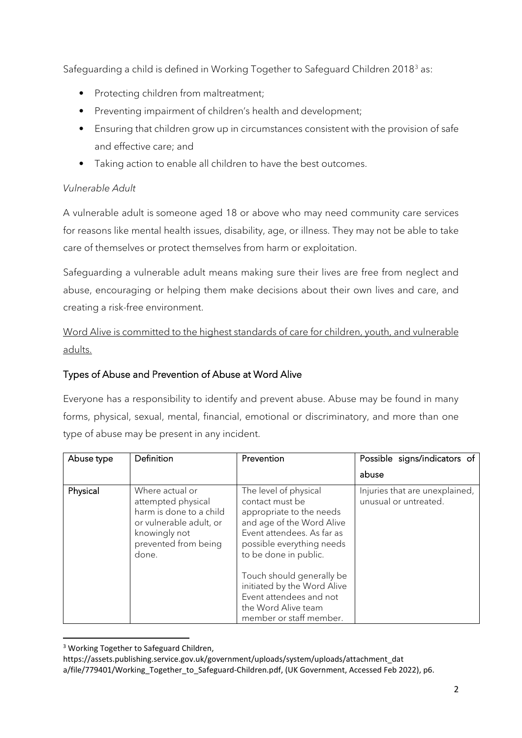Safeguarding a child is defined in Working Together to Safeguard Children 2018<sup>[3](#page-1-0)</sup> as:

- Protecting children from maltreatment;
- Preventing impairment of children's health and development;
- Ensuring that children grow up in circumstances consistent with the provision of safe and effective care; and
- Taking action to enable all children to have the best outcomes.

# *Vulnerable Adult*

A vulnerable adult is someone aged 18 or above who may need community care services for reasons like mental health issues, disability, age, or illness. They may not be able to take care of themselves or protect themselves from harm or exploitation.

Safeguarding a vulnerable adult means making sure their lives are free from neglect and abuse, encouraging or helping them make decisions about their own lives and care, and creating a risk-free environment.

Word Alive is committed to the highest standards of care for children, youth, and vulnerable adults.

# Types of Abuse and Prevention of Abuse at Word Alive

Everyone has a responsibility to identify and prevent abuse. Abuse may be found in many forms, physical, sexual, mental, financial, emotional or discriminatory, and more than one type of abuse may be present in any incident.

| Abuse type | Definition                                                                                                                                    | Prevention                                                                                                                                                                                                                                                                                                                     | Possible signs/indicators of                            |
|------------|-----------------------------------------------------------------------------------------------------------------------------------------------|--------------------------------------------------------------------------------------------------------------------------------------------------------------------------------------------------------------------------------------------------------------------------------------------------------------------------------|---------------------------------------------------------|
|            |                                                                                                                                               |                                                                                                                                                                                                                                                                                                                                | abuse                                                   |
| Physical   | Where actual or<br>attempted physical<br>harm is done to a child<br>or vulnerable adult, or<br>knowingly not<br>prevented from being<br>done. | The level of physical<br>contact must be<br>appropriate to the needs<br>and age of the Word Alive<br>Event attendees. As far as<br>possible everything needs<br>to be done in public.<br>Touch should generally be<br>initiated by the Word Alive<br>Event attendees and not<br>the Word Alive team<br>member or staff member. | Injuries that are unexplained,<br>unusual or untreated. |

<span id="page-1-0"></span><sup>&</sup>lt;sup>3</sup> Working Together to Safeguard Children,

https://assets.publishing.service.gov.uk/government/uploads/system/uploads/attachment\_dat

a/file/779401/Working\_Together\_to\_Safeguard-Children.pdf, (UK Government, Accessed Feb 2022), p6.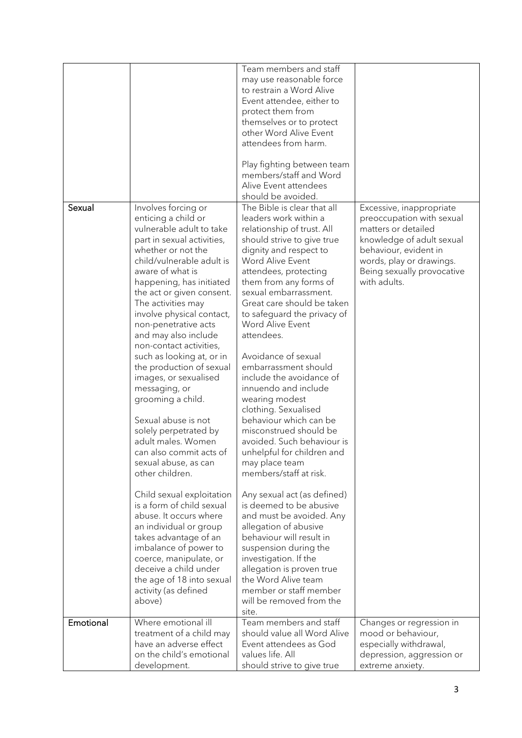|           |                                                                                                                                                                                                                                                                                                                                                                                                                                                                                                                                                                                                                                                                                                                                                                                                                                                                                                                | Team members and staff<br>may use reasonable force<br>to restrain a Word Alive<br>Event attendee, either to<br>protect them from<br>themselves or to protect                                                                                                                                                                                                                                                                                                                                                                                                                                                                                                                                                                                                                                                                                                                                                                  |                                                                                                                                                                                                              |
|-----------|----------------------------------------------------------------------------------------------------------------------------------------------------------------------------------------------------------------------------------------------------------------------------------------------------------------------------------------------------------------------------------------------------------------------------------------------------------------------------------------------------------------------------------------------------------------------------------------------------------------------------------------------------------------------------------------------------------------------------------------------------------------------------------------------------------------------------------------------------------------------------------------------------------------|-------------------------------------------------------------------------------------------------------------------------------------------------------------------------------------------------------------------------------------------------------------------------------------------------------------------------------------------------------------------------------------------------------------------------------------------------------------------------------------------------------------------------------------------------------------------------------------------------------------------------------------------------------------------------------------------------------------------------------------------------------------------------------------------------------------------------------------------------------------------------------------------------------------------------------|--------------------------------------------------------------------------------------------------------------------------------------------------------------------------------------------------------------|
|           |                                                                                                                                                                                                                                                                                                                                                                                                                                                                                                                                                                                                                                                                                                                                                                                                                                                                                                                | other Word Alive Event<br>attendees from harm.                                                                                                                                                                                                                                                                                                                                                                                                                                                                                                                                                                                                                                                                                                                                                                                                                                                                                |                                                                                                                                                                                                              |
|           |                                                                                                                                                                                                                                                                                                                                                                                                                                                                                                                                                                                                                                                                                                                                                                                                                                                                                                                | Play fighting between team<br>members/staff and Word<br>Alive Event attendees<br>should be avoided.                                                                                                                                                                                                                                                                                                                                                                                                                                                                                                                                                                                                                                                                                                                                                                                                                           |                                                                                                                                                                                                              |
| Sexual    | Involves forcing or<br>enticing a child or<br>vulnerable adult to take<br>part in sexual activities,<br>whether or not the<br>child/vulnerable adult is<br>aware of what is<br>happening, has initiated<br>the act or given consent.<br>The activities may<br>involve physical contact,<br>non-penetrative acts<br>and may also include<br>non-contact activities,<br>such as looking at, or in<br>the production of sexual<br>images, or sexualised<br>messaging, or<br>grooming a child.<br>Sexual abuse is not<br>solely perpetrated by<br>adult males. Women<br>can also commit acts of<br>sexual abuse, as can<br>other children.<br>Child sexual exploitation<br>is a form of child sexual<br>abuse. It occurs where<br>an individual or group<br>takes advantage of an<br>imbalance of power to<br>coerce, manipulate, or<br>deceive a child under<br>the age of 18 into sexual<br>activity (as defined | The Bible is clear that all<br>leaders work within a<br>relationship of trust. All<br>should strive to give true<br>dignity and respect to<br>Word Alive Event<br>attendees, protecting<br>them from any forms of<br>sexual embarrassment.<br>Great care should be taken<br>to safeguard the privacy of<br>Word Alive Event<br>attendees.<br>Avoidance of sexual<br>embarrassment should<br>include the avoidance of<br>innuendo and include<br>wearing modest<br>clothing. Sexualised<br>behaviour which can be<br>misconstrued should be<br>avoided. Such behaviour is<br>unhelpful for children and<br>may place team<br>members/staff at risk.<br>Any sexual act (as defined)<br>is deemed to be abusive<br>and must be avoided. Any<br>allegation of abusive<br>behaviour will result in<br>suspension during the<br>investigation. If the<br>allegation is proven true<br>the Word Alive team<br>member or staff member | Excessive, inappropriate<br>preoccupation with sexual<br>matters or detailed<br>knowledge of adult sexual<br>behaviour, evident in<br>words, play or drawings.<br>Being sexually provocative<br>with adults. |
|           | above)                                                                                                                                                                                                                                                                                                                                                                                                                                                                                                                                                                                                                                                                                                                                                                                                                                                                                                         | will be removed from the<br>site.                                                                                                                                                                                                                                                                                                                                                                                                                                                                                                                                                                                                                                                                                                                                                                                                                                                                                             |                                                                                                                                                                                                              |
| Emotional | Where emotional ill<br>treatment of a child may<br>have an adverse effect<br>on the child's emotional<br>development.                                                                                                                                                                                                                                                                                                                                                                                                                                                                                                                                                                                                                                                                                                                                                                                          | Team members and staff<br>should value all Word Alive<br>Event attendees as God<br>values life. All<br>should strive to give true                                                                                                                                                                                                                                                                                                                                                                                                                                                                                                                                                                                                                                                                                                                                                                                             | Changes or regression in<br>mood or behaviour,<br>especially withdrawal,<br>depression, aggression or<br>extreme anxiety.                                                                                    |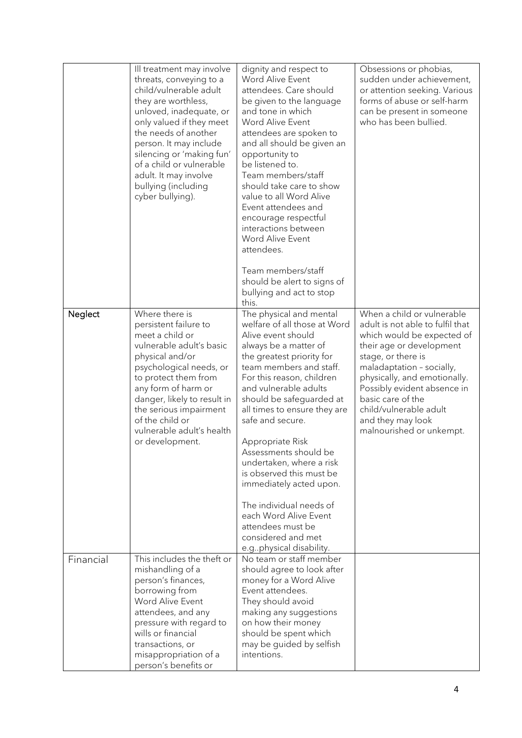|           | Ill treatment may involve<br>threats, conveying to a<br>child/vulnerable adult<br>they are worthless,<br>unloved, inadequate, or<br>only valued if they meet<br>the needs of another<br>person. It may include<br>silencing or 'making fun'<br>of a child or vulnerable<br>adult. It may involve<br>bullying (including<br>cyber bullying). | dignity and respect to<br>Word Alive Event<br>attendees. Care should<br>be given to the language<br>and tone in which<br>Word Alive Event<br>attendees are spoken to<br>and all should be given an<br>opportunity to<br>be listened to.<br>Team members/staff<br>should take care to show<br>value to all Word Alive<br>Event attendees and<br>encourage respectful<br>interactions between<br>Word Alive Event<br>attendees.<br>Team members/staff<br>should be alert to signs of<br>bullying and act to stop<br>this.                                        | Obsessions or phobias,<br>sudden under achievement,<br>or attention seeking. Various<br>forms of abuse or self-harm<br>can be present in someone<br>who has been bullied.                                                                                                                                                                  |
|-----------|---------------------------------------------------------------------------------------------------------------------------------------------------------------------------------------------------------------------------------------------------------------------------------------------------------------------------------------------|----------------------------------------------------------------------------------------------------------------------------------------------------------------------------------------------------------------------------------------------------------------------------------------------------------------------------------------------------------------------------------------------------------------------------------------------------------------------------------------------------------------------------------------------------------------|--------------------------------------------------------------------------------------------------------------------------------------------------------------------------------------------------------------------------------------------------------------------------------------------------------------------------------------------|
| Neglect   | Where there is<br>persistent failure to<br>meet a child or<br>vulnerable adult's basic<br>physical and/or<br>psychological needs, or<br>to protect them from<br>any form of harm or<br>danger, likely to result in<br>the serious impairment<br>of the child or<br>vulnerable adult's health<br>or development.                             | The physical and mental<br>welfare of all those at Word<br>Alive event should<br>always be a matter of<br>the greatest priority for<br>team members and staff.<br>For this reason, children<br>and vulnerable adults<br>should be safeguarded at<br>all times to ensure they are<br>safe and secure.<br>Appropriate Risk<br>Assessments should be<br>undertaken, where a risk<br>is observed this must be<br>immediately acted upon.<br>The individual needs of<br>each Word Alive Event<br>attendees must be<br>considered and met<br>e.gphysical disability. | When a child or vulnerable<br>adult is not able to fulfil that<br>which would be expected of<br>their age or development<br>stage, or there is<br>maladaptation - socially,<br>physically, and emotionally.<br>Possibly evident absence in<br>basic care of the<br>child/vulnerable adult<br>and they may look<br>malnourished or unkempt. |
| Financial | This includes the theft or<br>mishandling of a<br>person's finances,<br>borrowing from<br>Word Alive Event<br>attendees, and any<br>pressure with regard to<br>wills or financial<br>transactions, or<br>misappropriation of a<br>person's benefits or                                                                                      | No team or staff member<br>should agree to look after<br>money for a Word Alive<br>Event attendees.<br>They should avoid<br>making any suggestions<br>on how their money<br>should be spent which<br>may be guided by selfish<br>intentions.                                                                                                                                                                                                                                                                                                                   |                                                                                                                                                                                                                                                                                                                                            |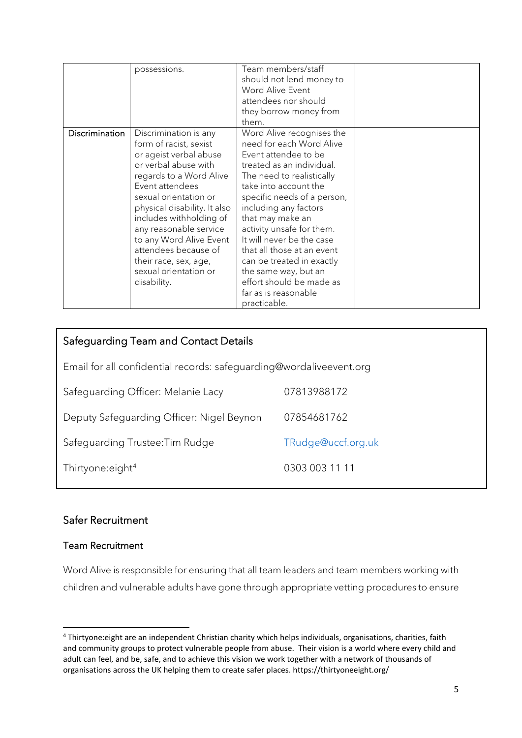|                | possessions.                                                                                                                                                                                                                                                                                                                                                                      | Team members/staff<br>should not lend money to<br>Word Alive Event<br>attendees nor should<br>they borrow money from<br>them.                                                                                                                                                                                                                                                                                                                                 |  |
|----------------|-----------------------------------------------------------------------------------------------------------------------------------------------------------------------------------------------------------------------------------------------------------------------------------------------------------------------------------------------------------------------------------|---------------------------------------------------------------------------------------------------------------------------------------------------------------------------------------------------------------------------------------------------------------------------------------------------------------------------------------------------------------------------------------------------------------------------------------------------------------|--|
| Discrimination | Discrimination is any<br>form of racist, sexist<br>or ageist verbal abuse<br>or verbal abuse with<br>regards to a Word Alive<br>Event attendees<br>sexual orientation or<br>physical disability. It also<br>includes withholding of<br>any reasonable service<br>to any Word Alive Event<br>attendees because of<br>their race, sex, age,<br>sexual orientation or<br>disability. | Word Alive recognises the<br>need for each Word Alive<br>Event attendee to be<br>treated as an individual.<br>The need to realistically<br>take into account the<br>specific needs of a person,<br>including any factors<br>that may make an<br>activity unsafe for them.<br>It will never be the case<br>that all those at an event<br>can be treated in exactly<br>the same way, but an<br>effort should be made as<br>far as is reasonable<br>practicable. |  |

| Safeguarding Team and Contact Details                               |                    |  |  |
|---------------------------------------------------------------------|--------------------|--|--|
| Email for all confidential records: safeguarding@wordaliveevent.org |                    |  |  |
| Safeguarding Officer: Melanie Lacy                                  | 07813988172        |  |  |
| Deputy Safeguarding Officer: Nigel Beynon                           | 07854681762        |  |  |
| Safeguarding Trustee: Tim Rudge                                     | TRudge@uccf.org.uk |  |  |
| Thirtyone:eight <sup>4</sup>                                        | 0303 003 11 11     |  |  |

# Safer Recruitment

# Team Recruitment

Word Alive is responsible for ensuring that all team leaders and team members working with children and vulnerable adults have gone through appropriate vetting procedures to ensure

<span id="page-4-0"></span><sup>4</sup> Thirtyone:eight are an independent Christian charity which helps individuals, organisations, charities, faith and community groups to protect vulnerable people from abuse. Their vision is a world where every child and adult can feel, and be, safe, and to achieve this vision we work together with a network of thousands of organisations across the UK helping them to create safer places. https://thirtyoneeight.org/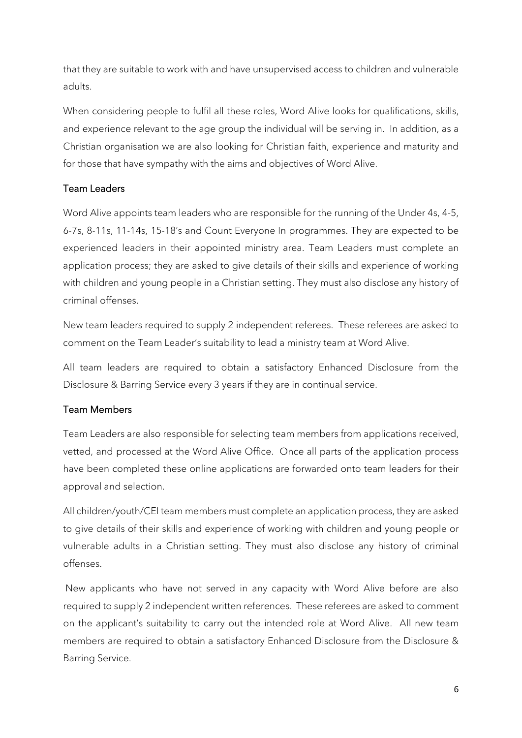that they are suitable to work with and have unsupervised access to children and vulnerable adults.

When considering people to fulfil all these roles, Word Alive looks for qualifications, skills, and experience relevant to the age group the individual will be serving in. In addition, as a Christian organisation we are also looking for Christian faith, experience and maturity and for those that have sympathy with the aims and objectives of Word Alive.

### Team Leaders

Word Alive appoints team leaders who are responsible for the running of the Under 4s, 4-5, 6-7s, 8-11s, 11-14s, 15-18's and Count Everyone In programmes. They are expected to be experienced leaders in their appointed ministry area. Team Leaders must complete an application process; they are asked to give details of their skills and experience of working with children and young people in a Christian setting. They must also disclose any history of criminal offenses.

New team leaders required to supply 2 independent referees. These referees are asked to comment on the Team Leader's suitability to lead a ministry team at Word Alive.

All team leaders are required to obtain a satisfactory Enhanced Disclosure from the Disclosure & Barring Service every 3 years if they are in continual service.

# Team Members

Team Leaders are also responsible for selecting team members from applications received, vetted, and processed at the Word Alive Office. Once all parts of the application process have been completed these online applications are forwarded onto team leaders for their approval and selection.

All children/youth/CEI team members must complete an application process, they are asked to give details of their skills and experience of working with children and young people or vulnerable adults in a Christian setting. They must also disclose any history of criminal offenses.

New applicants who have not served in any capacity with Word Alive before are also required to supply 2 independent written references. These referees are asked to comment on the applicant's suitability to carry out the intended role at Word Alive. All new team members are required to obtain a satisfactory Enhanced Disclosure from the Disclosure & Barring Service.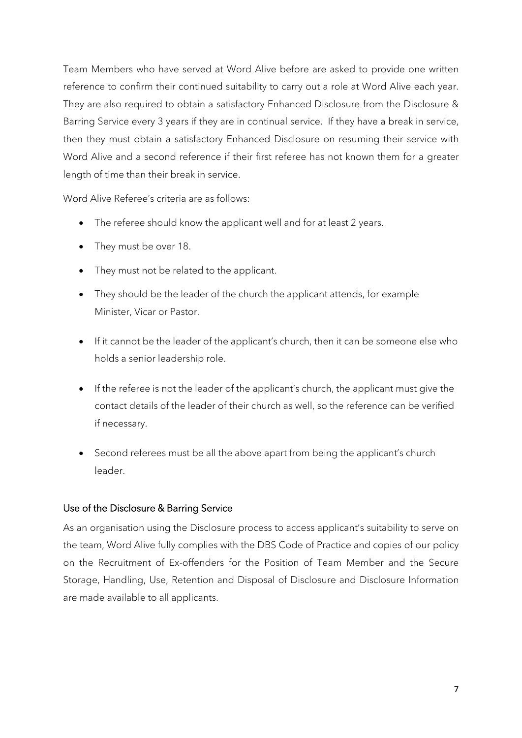Team Members who have served at Word Alive before are asked to provide one written reference to confirm their continued suitability to carry out a role at Word Alive each year. They are also required to obtain a satisfactory Enhanced Disclosure from the Disclosure & Barring Service every 3 years if they are in continual service. If they have a break in service, then they must obtain a satisfactory Enhanced Disclosure on resuming their service with Word Alive and a second reference if their first referee has not known them for a greater length of time than their break in service.

Word Alive Referee's criteria are as follows:

- The referee should know the applicant well and for at least 2 years.
- They must be over 18.
- They must not be related to the applicant.
- They should be the leader of the church the applicant attends, for example Minister, Vicar or Pastor.
- If it cannot be the leader of the applicant's church, then it can be someone else who holds a senior leadership role.
- If the referee is not the leader of the applicant's church, the applicant must give the contact details of the leader of their church as well, so the reference can be verified if necessary.
- Second referees must be all the above apart from being the applicant's church leader.

#### Use of the Disclosure & Barring Service

As an organisation using the Disclosure process to access applicant's suitability to serve on the team, Word Alive fully complies with the DBS Code of Practice and copies of our policy on the Recruitment of Ex-offenders for the Position of Team Member and the Secure Storage, Handling, Use, Retention and Disposal of Disclosure and Disclosure Information are made available to all applicants.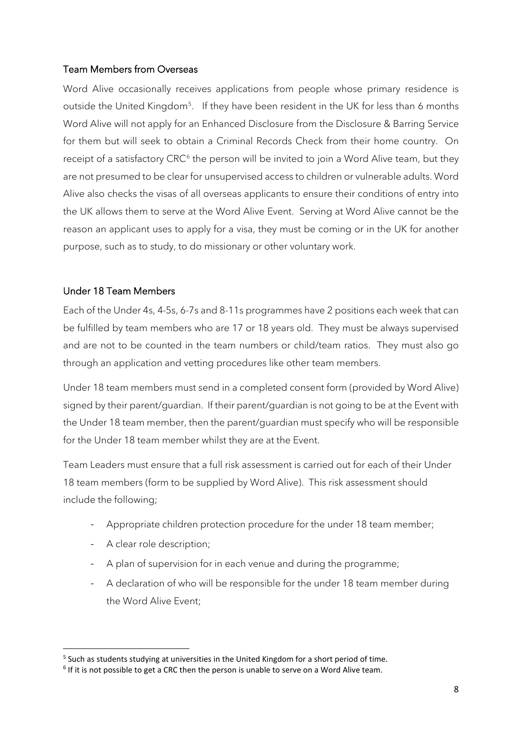### Team Members from Overseas

Word Alive occasionally receives applications from people whose primary residence is outside the United Kingdom<sup>[5](#page-7-0)</sup>. If they have been resident in the UK for less than 6 months Word Alive will not apply for an Enhanced Disclosure from the Disclosure & Barring Service for them but will seek to obtain a Criminal Records Check from their home country. On receipt of a satisfactory CRC<sup>[6](#page-7-1)</sup> the person will be invited to join a Word Alive team, but they are not presumed to be clear for unsupervised access to children or vulnerable adults. Word Alive also checks the visas of all overseas applicants to ensure their conditions of entry into the UK allows them to serve at the Word Alive Event. Serving at Word Alive cannot be the reason an applicant uses to apply for a visa, they must be coming or in the UK for another purpose, such as to study, to do missionary or other voluntary work.

#### Under 18 Team Members

Each of the Under 4s, 4-5s, 6-7s and 8-11s programmes have 2 positions each week that can be fulfilled by team members who are 17 or 18 years old. They must be always supervised and are not to be counted in the team numbers or child/team ratios. They must also go through an application and vetting procedures like other team members.

Under 18 team members must send in a completed consent form (provided by Word Alive) signed by their parent/guardian. If their parent/guardian is not going to be at the Event with the Under 18 team member, then the parent/guardian must specify who will be responsible for the Under 18 team member whilst they are at the Event.

Team Leaders must ensure that a full risk assessment is carried out for each of their Under 18 team members (form to be supplied by Word Alive). This risk assessment should include the following;

- Appropriate children protection procedure for the under 18 team member;
- A clear role description;
- A plan of supervision for in each venue and during the programme;
- A declaration of who will be responsible for the under 18 team member during the Word Alive Event;

<span id="page-7-0"></span> $5$  Such as students studying at universities in the United Kingdom for a short period of time.

<span id="page-7-1"></span> $6$  If it is not possible to get a CRC then the person is unable to serve on a Word Alive team.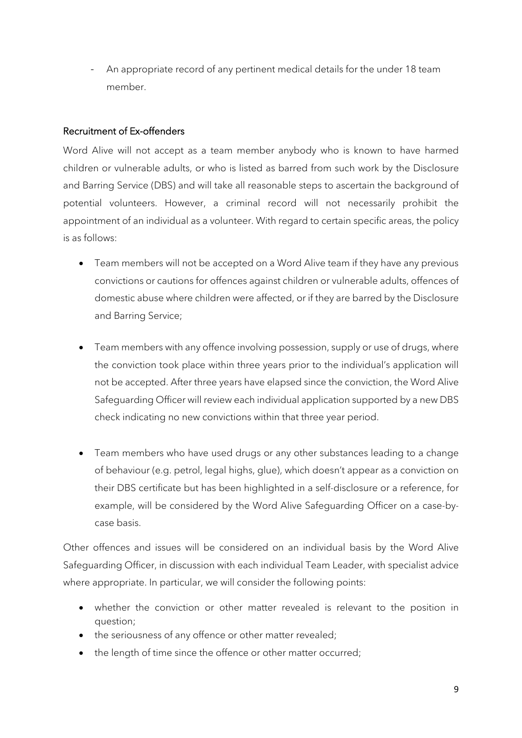An appropriate record of any pertinent medical details for the under 18 team member.

#### Recruitment of Ex-offenders

Word Alive will not accept as a team member anybody who is known to have harmed children or vulnerable adults, or who is listed as barred from such work by the Disclosure and Barring Service (DBS) and will take all reasonable steps to ascertain the background of potential volunteers. However, a criminal record will not necessarily prohibit the appointment of an individual as a volunteer. With regard to certain specific areas, the policy is as follows:

- Team members will not be accepted on a Word Alive team if they have any previous convictions or cautions for offences against children or vulnerable adults, offences of domestic abuse where children were affected, or if they are barred by the Disclosure and Barring Service;
- Team members with any offence involving possession, supply or use of drugs, where the conviction took place within three years prior to the individual's application will not be accepted. After three years have elapsed since the conviction, the Word Alive Safeguarding Officer will review each individual application supported by a new DBS check indicating no new convictions within that three year period.
- Team members who have used drugs or any other substances leading to a change of behaviour (e.g. petrol, legal highs, glue), which doesn't appear as a conviction on their DBS certificate but has been highlighted in a self-disclosure or a reference, for example, will be considered by the Word Alive Safeguarding Officer on a case-bycase basis.

Other offences and issues will be considered on an individual basis by the Word Alive Safeguarding Officer, in discussion with each individual Team Leader, with specialist advice where appropriate. In particular, we will consider the following points:

- whether the conviction or other matter revealed is relevant to the position in question;
- the seriousness of any offence or other matter revealed;
- the length of time since the offence or other matter occurred;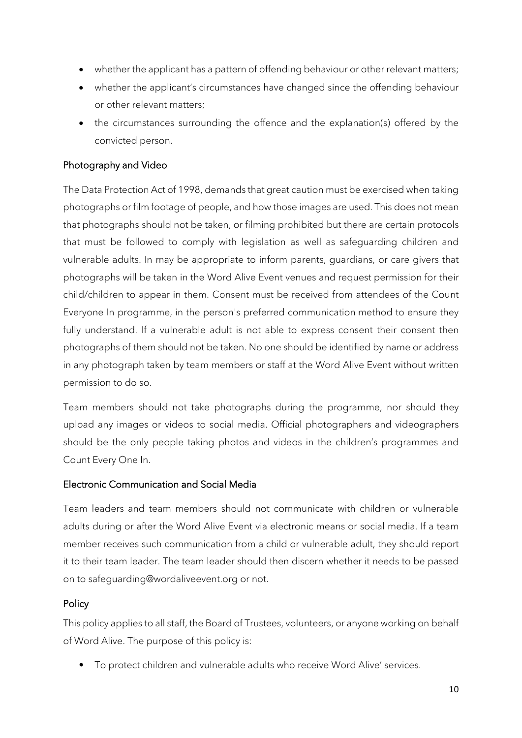- whether the applicant has a pattern of offending behaviour or other relevant matters;
- whether the applicant's circumstances have changed since the offending behaviour or other relevant matters;
- the circumstances surrounding the offence and the explanation(s) offered by the convicted person.

### Photography and Video

The Data Protection Act of 1998, demands that great caution must be exercised when taking photographs or film footage of people, and how those images are used. This does not mean that photographs should not be taken, or filming prohibited but there are certain protocols that must be followed to comply with legislation as well as safeguarding children and vulnerable adults. In may be appropriate to inform parents, guardians, or care givers that photographs will be taken in the Word Alive Event venues and request permission for their child/children to appear in them. Consent must be received from attendees of the Count Everyone In programme, in the person's preferred communication method to ensure they fully understand. If a vulnerable adult is not able to express consent their consent then photographs of them should not be taken. No one should be identified by name or address in any photograph taken by team members or staff at the Word Alive Event without written permission to do so.

Team members should not take photographs during the programme, nor should they upload any images or videos to social media. Official photographers and videographers should be the only people taking photos and videos in the children's programmes and Count Every One In.

#### Electronic Communication and Social Media

Team leaders and team members should not communicate with children or vulnerable adults during or after the Word Alive Event via electronic means or social media. If a team member receives such communication from a child or vulnerable adult, they should report it to their team leader. The team leader should then discern whether it needs to be passed on to safeguarding@wordaliveevent.org or not.

#### **Policy**

This policy applies to all staff, the Board of Trustees, volunteers, or anyone working on behalf of Word Alive. The purpose of this policy is:

• To protect children and vulnerable adults who receive Word Alive' services.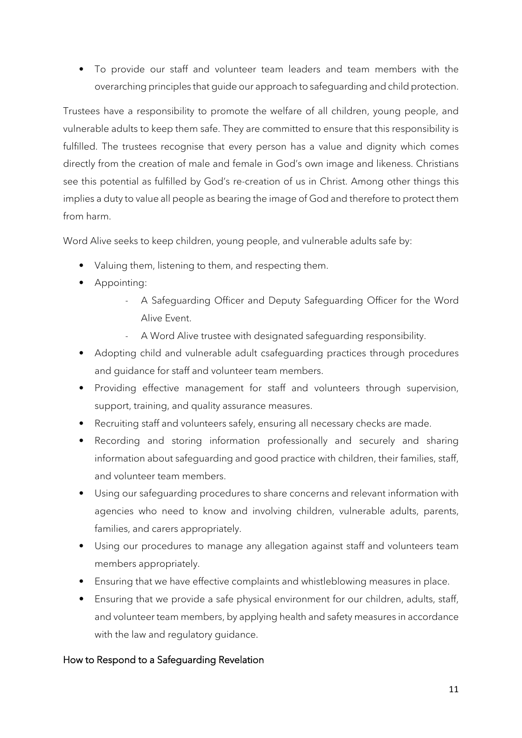• To provide our staff and volunteer team leaders and team members with the overarching principles that guide our approach to safeguarding and child protection.

Trustees have a responsibility to promote the welfare of all children, young people, and vulnerable adults to keep them safe. They are committed to ensure that this responsibility is fulfilled. The trustees recognise that every person has a value and dignity which comes directly from the creation of male and female in God's own image and likeness. Christians see this potential as fulfilled by God's re-creation of us in Christ. Among other things this implies a duty to value all people as bearing the image of God and therefore to protect them from harm.

Word Alive seeks to keep children, young people, and vulnerable adults safe by:

- Valuing them, listening to them, and respecting them.
- Appointing:
	- A Safeguarding Officer and Deputy Safeguarding Officer for the Word Alive Event.
	- A Word Alive trustee with designated safeguarding responsibility.
- Adopting child and vulnerable adult csafeguarding practices through procedures and guidance for staff and volunteer team members.
- Providing effective management for staff and volunteers through supervision, support, training, and quality assurance measures.
- Recruiting staff and volunteers safely, ensuring all necessary checks are made.
- Recording and storing information professionally and securely and sharing information about safeguarding and good practice with children, their families, staff, and volunteer team members.
- Using our safeguarding procedures to share concerns and relevant information with agencies who need to know and involving children, vulnerable adults, parents, families, and carers appropriately.
- Using our procedures to manage any allegation against staff and volunteers team members appropriately.
- Ensuring that we have effective complaints and whistleblowing measures in place.
- Ensuring that we provide a safe physical environment for our children, adults, staff, and volunteer team members, by applying health and safety measures in accordance with the law and regulatory guidance.

#### How to Respond to a Safeguarding Revelation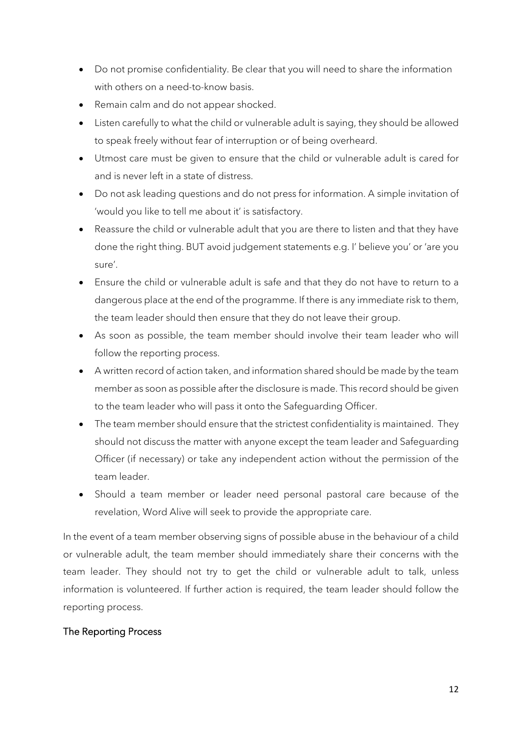- Do not promise confidentiality. Be clear that you will need to share the information with others on a need-to-know basis.
- Remain calm and do not appear shocked.
- Listen carefully to what the child or vulnerable adult is saying, they should be allowed to speak freely without fear of interruption or of being overheard.
- Utmost care must be given to ensure that the child or vulnerable adult is cared for and is never left in a state of distress.
- Do not ask leading questions and do not press for information. A simple invitation of 'would you like to tell me about it' is satisfactory.
- Reassure the child or vulnerable adult that you are there to listen and that they have done the right thing. BUT avoid judgement statements e.g. I' believe you' or 'are you sure'.
- Ensure the child or vulnerable adult is safe and that they do not have to return to a dangerous place at the end of the programme. If there is any immediate risk to them, the team leader should then ensure that they do not leave their group.
- As soon as possible, the team member should involve their team leader who will follow the reporting process.
- A written record of action taken, and information shared should be made by the team member as soon as possible after the disclosure is made. This record should be given to the team leader who will pass it onto the Safeguarding Officer.
- The team member should ensure that the strictest confidentiality is maintained. They should not discuss the matter with anyone except the team leader and Safeguarding Officer (if necessary) or take any independent action without the permission of the team leader.
- Should a team member or leader need personal pastoral care because of the revelation, Word Alive will seek to provide the appropriate care.

In the event of a team member observing signs of possible abuse in the behaviour of a child or vulnerable adult, the team member should immediately share their concerns with the team leader. They should not try to get the child or vulnerable adult to talk, unless information is volunteered. If further action is required, the team leader should follow the reporting process.

# The Reporting Process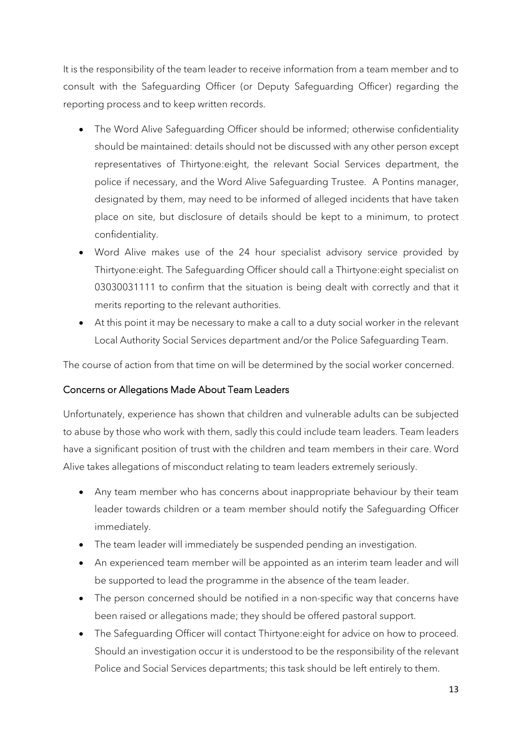It is the responsibility of the team leader to receive information from a team member and to consult with the Safeguarding Officer (or Deputy Safeguarding Officer) regarding the reporting process and to keep written records.

- The Word Alive Safeguarding Officer should be informed; otherwise confidentiality should be maintained: details should not be discussed with any other person except representatives of Thirtyone:eight, the relevant Social Services department, the police if necessary, and the Word Alive Safeguarding Trustee. A Pontins manager, designated by them, may need to be informed of alleged incidents that have taken place on site, but disclosure of details should be kept to a minimum, to protect confidentiality.
- Word Alive makes use of the 24 hour specialist advisory service provided by Thirtyone:eight. The Safeguarding Officer should call a Thirtyone:eight specialist on 03030031111 to confirm that the situation is being dealt with correctly and that it merits reporting to the relevant authorities.
- At this point it may be necessary to make a call to a duty social worker in the relevant Local Authority Social Services department and/or the Police Safeguarding Team.

The course of action from that time on will be determined by the social worker concerned.

# Concerns or Allegations Made About Team Leaders

Unfortunately, experience has shown that children and vulnerable adults can be subjected to abuse by those who work with them, sadly this could include team leaders. Team leaders have a significant position of trust with the children and team members in their care. Word Alive takes allegations of misconduct relating to team leaders extremely seriously.

- Any team member who has concerns about inappropriate behaviour by their team leader towards children or a team member should notify the Safeguarding Officer immediately.
- The team leader will immediately be suspended pending an investigation.
- An experienced team member will be appointed as an interim team leader and will be supported to lead the programme in the absence of the team leader.
- The person concerned should be notified in a non-specific way that concerns have been raised or allegations made; they should be offered pastoral support.
- The Safeguarding Officer will contact Thirtyone:eight for advice on how to proceed. Should an investigation occur it is understood to be the responsibility of the relevant Police and Social Services departments; this task should be left entirely to them.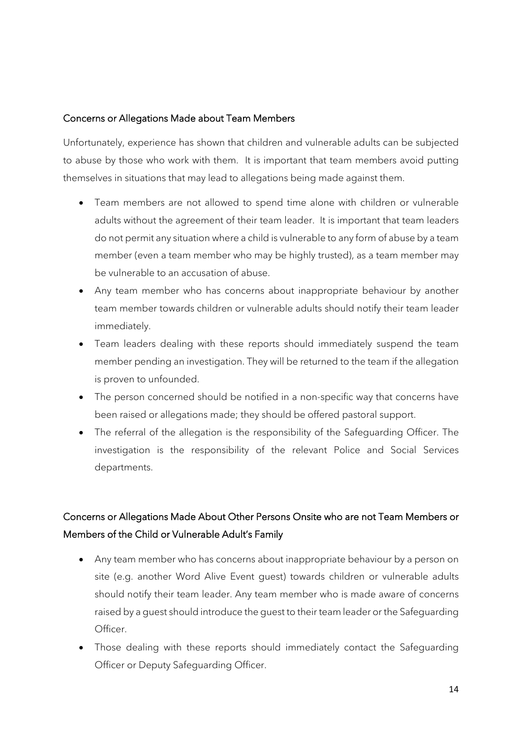#### Concerns or Allegations Made about Team Members

Unfortunately, experience has shown that children and vulnerable adults can be subjected to abuse by those who work with them. It is important that team members avoid putting themselves in situations that may lead to allegations being made against them.

- Team members are not allowed to spend time alone with children or vulnerable adults without the agreement of their team leader. It is important that team leaders do not permit any situation where a child is vulnerable to any form of abuse by a team member (even a team member who may be highly trusted), as a team member may be vulnerable to an accusation of abuse.
- Any team member who has concerns about inappropriate behaviour by another team member towards children or vulnerable adults should notify their team leader immediately.
- Team leaders dealing with these reports should immediately suspend the team member pending an investigation. They will be returned to the team if the allegation is proven to unfounded.
- The person concerned should be notified in a non-specific way that concerns have been raised or allegations made; they should be offered pastoral support.
- The referral of the allegation is the responsibility of the Safeguarding Officer. The investigation is the responsibility of the relevant Police and Social Services departments.

# Concerns or Allegations Made About Other Persons Onsite who are not Team Members or Members of the Child or Vulnerable Adult's Family

- Any team member who has concerns about inappropriate behaviour by a person on site (e.g. another Word Alive Event guest) towards children or vulnerable adults should notify their team leader. Any team member who is made aware of concerns raised by a guest should introduce the guest to their team leader or the Safeguarding Officer.
- Those dealing with these reports should immediately contact the Safeguarding Officer or Deputy Safeguarding Officer.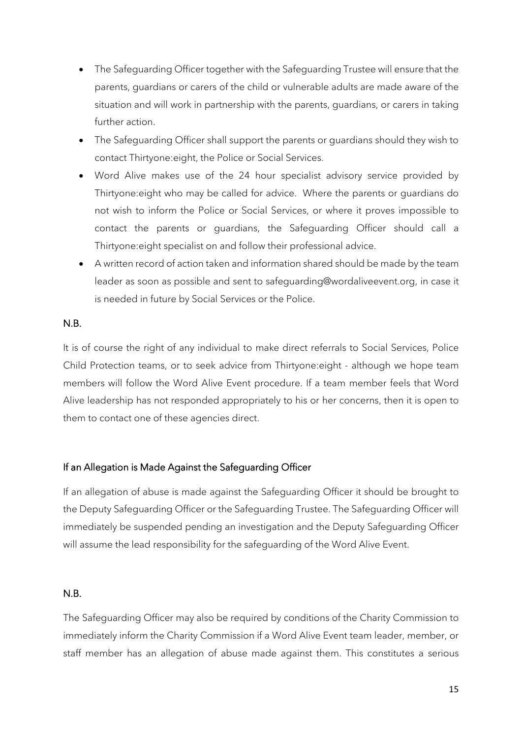- The Safeguarding Officer together with the Safeguarding Trustee will ensure that the parents, guardians or carers of the child or vulnerable adults are made aware of the situation and will work in partnership with the parents, guardians, or carers in taking further action.
- The Safeguarding Officer shall support the parents or guardians should they wish to contact Thirtyone:eight, the Police or Social Services.
- Word Alive makes use of the 24 hour specialist advisory service provided by Thirtyone:eight who may be called for advice. Where the parents or guardians do not wish to inform the Police or Social Services, or where it proves impossible to contact the parents or guardians, the Safeguarding Officer should call a Thirtyone:eight specialist on and follow their professional advice.
- A written record of action taken and information shared should be made by the team leader as soon as possible and sent to safeguarding@wordaliveevent.org, in case it is needed in future by Social Services or the Police.

#### N.B.

It is of course the right of any individual to make direct referrals to Social Services, Police Child Protection teams, or to seek advice from Thirtyone:eight - although we hope team members will follow the Word Alive Event procedure. If a team member feels that Word Alive leadership has not responded appropriately to his or her concerns, then it is open to them to contact one of these agencies direct.

#### If an Allegation is Made Against the Safeguarding Officer

If an allegation of abuse is made against the Safeguarding Officer it should be brought to the Deputy Safeguarding Officer or the Safeguarding Trustee. The Safeguarding Officer will immediately be suspended pending an investigation and the Deputy Safeguarding Officer will assume the lead responsibility for the safeguarding of the Word Alive Event.

#### N.B.

The Safeguarding Officer may also be required by conditions of the Charity Commission to immediately inform the Charity Commission if a Word Alive Event team leader, member, or staff member has an allegation of abuse made against them. This constitutes a serious